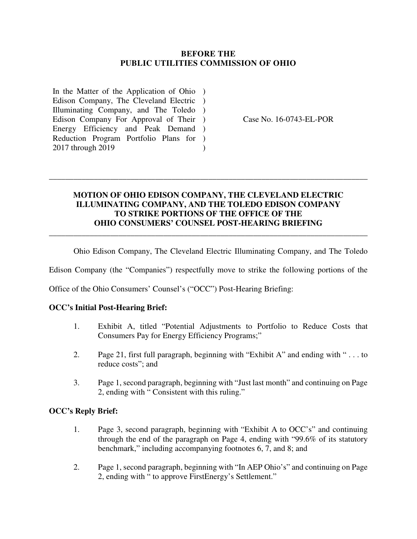## **BEFORE THE PUBLIC UTILITIES COMMISSION OF OHIO**

In the Matter of the Application of Ohio ) Edison Company, The Cleveland Electric ) Illuminating Company, and The Toledo ) Edison Company For Approval of Their ) Energy Efficiency and Peak Demand ) Reduction Program Portfolio Plans for ) 2017 through 2019  $\lambda$ 

Case No. 16-0743-EL-POR

## **MOTION OF OHIO EDISON COMPANY, THE CLEVELAND ELECTRIC ILLUMINATING COMPANY, AND THE TOLEDO EDISON COMPANY TO STRIKE PORTIONS OF THE OFFICE OF THE OHIO CONSUMERS' COUNSEL POST-HEARING BRIEFING**  \_\_\_\_\_\_\_\_\_\_\_\_\_\_\_\_\_\_\_\_\_\_\_\_\_\_\_\_\_\_\_\_\_\_\_\_\_\_\_\_\_\_\_\_\_\_\_\_\_\_\_\_\_\_\_\_\_\_\_\_\_\_\_\_\_\_\_\_\_\_\_\_\_\_\_\_\_\_

\_\_\_\_\_\_\_\_\_\_\_\_\_\_\_\_\_\_\_\_\_\_\_\_\_\_\_\_\_\_\_\_\_\_\_\_\_\_\_\_\_\_\_\_\_\_\_\_\_\_\_\_\_\_\_\_\_\_\_\_\_\_\_\_\_\_\_\_\_\_\_\_\_\_\_\_\_\_

Ohio Edison Company, The Cleveland Electric Illuminating Company, and The Toledo

Edison Company (the "Companies") respectfully move to strike the following portions of the

Office of the Ohio Consumers' Counsel's ("OCC") Post-Hearing Briefing:

### **OCC's Initial Post-Hearing Brief:**

- 1. Exhibit A, titled "Potential Adjustments to Portfolio to Reduce Costs that Consumers Pay for Energy Efficiency Programs;"
- 2. Page 21, first full paragraph, beginning with "Exhibit A" and ending with " . . . to reduce costs"; and
- 3. Page 1, second paragraph, beginning with "Just last month" and continuing on Page 2, ending with " Consistent with this ruling."

#### **OCC's Reply Brief:**

- 1. Page 3, second paragraph, beginning with "Exhibit A to OCC's" and continuing through the end of the paragraph on Page 4, ending with "99.6% of its statutory benchmark," including accompanying footnotes 6, 7, and 8; and
- 2. Page 1, second paragraph, beginning with "In AEP Ohio's" and continuing on Page 2, ending with " to approve FirstEnergy's Settlement."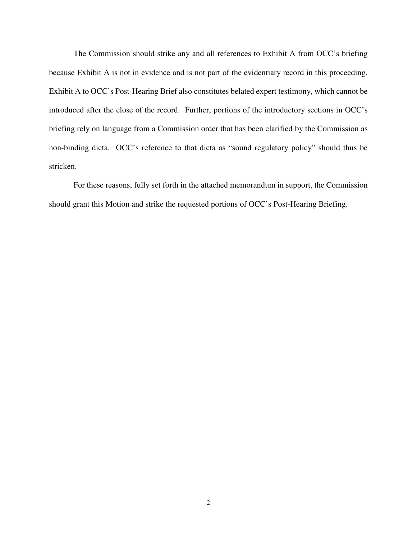The Commission should strike any and all references to Exhibit A from OCC's briefing because Exhibit A is not in evidence and is not part of the evidentiary record in this proceeding. Exhibit A to OCC's Post-Hearing Brief also constitutes belated expert testimony, which cannot be introduced after the close of the record. Further, portions of the introductory sections in OCC's briefing rely on language from a Commission order that has been clarified by the Commission as non-binding dicta. OCC's reference to that dicta as "sound regulatory policy" should thus be stricken.

 For these reasons, fully set forth in the attached memorandum in support, the Commission should grant this Motion and strike the requested portions of OCC's Post-Hearing Briefing.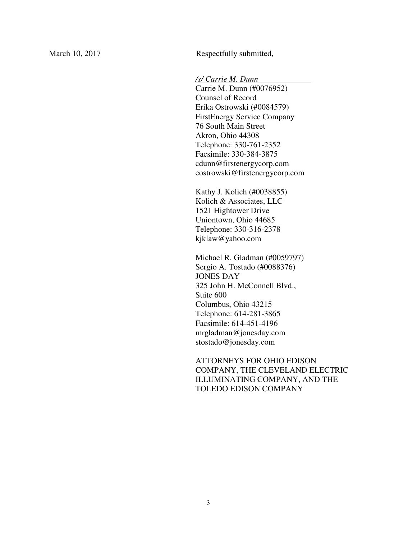March 10, 2017 Respectfully submitted,

*/s/ Carrie M. Dunn .*

Carrie M. Dunn (#0076952) Counsel of Record Erika Ostrowski (#0084579) FirstEnergy Service Company 76 South Main Street Akron, Ohio 44308 Telephone: 330-761-2352 Facsimile: 330-384-3875 cdunn@firstenergycorp.com eostrowski@firstenergycorp.com

Kathy J. Kolich (#0038855) Kolich & Associates, LLC 1521 Hightower Drive Uniontown, Ohio 44685 Telephone: 330-316-2378 kjklaw@yahoo.com

Michael R. Gladman (#0059797) Sergio A. Tostado (#0088376) JONES DAY 325 John H. McConnell Blvd., Suite 600 Columbus, Ohio 43215 Telephone: 614-281-3865 Facsimile: 614-451-4196 mrgladman@jonesday.com stostado@jonesday.com

ATTORNEYS FOR OHIO EDISON COMPANY, THE CLEVELAND ELECTRIC ILLUMINATING COMPANY, AND THE TOLEDO EDISON COMPANY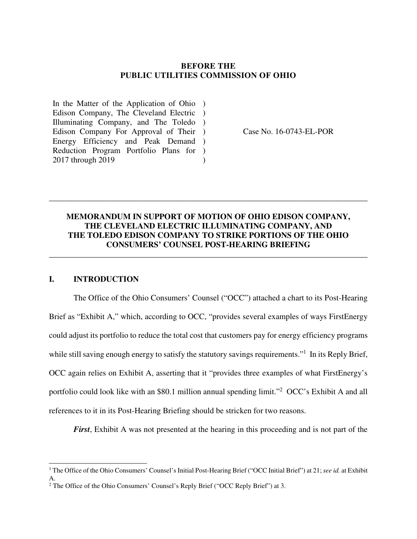### **BEFORE THE PUBLIC UTILITIES COMMISSION OF OHIO**

In the Matter of the Application of Ohio ) Edison Company, The Cleveland Electric ) Illuminating Company, and The Toledo ) Edison Company For Approval of Their ) Energy Efficiency and Peak Demand ) Reduction Program Portfolio Plans for ) 2017 through 2019  $\lambda$ 

Case No. 16-0743-EL-POR

## **MEMORANDUM IN SUPPORT OF MOTION OF OHIO EDISON COMPANY, THE CLEVELAND ELECTRIC ILLUMINATING COMPANY, AND THE TOLEDO EDISON COMPANY TO STRIKE PORTIONS OF THE OHIO CONSUMERS' COUNSEL POST-HEARING BRIEFING**

\_\_\_\_\_\_\_\_\_\_\_\_\_\_\_\_\_\_\_\_\_\_\_\_\_\_\_\_\_\_\_\_\_\_\_\_\_\_\_\_\_\_\_\_\_\_\_\_\_\_\_\_\_\_\_\_\_\_\_\_\_\_\_\_\_\_\_\_\_\_\_\_\_\_\_\_\_\_

\_\_\_\_\_\_\_\_\_\_\_\_\_\_\_\_\_\_\_\_\_\_\_\_\_\_\_\_\_\_\_\_\_\_\_\_\_\_\_\_\_\_\_\_\_\_\_\_\_\_\_\_\_\_\_\_\_\_\_\_\_\_\_\_\_\_\_\_\_\_\_\_\_\_\_\_\_\_

## **I. INTRODUCTION**

j

The Office of the Ohio Consumers' Counsel ("OCC") attached a chart to its Post-Hearing Brief as "Exhibit A," which, according to OCC, "provides several examples of ways FirstEnergy could adjust its portfolio to reduce the total cost that customers pay for energy efficiency programs while still saving enough energy to satisfy the statutory savings requirements."<sup>1</sup> In its Reply Brief, OCC again relies on Exhibit A, asserting that it "provides three examples of what FirstEnergy's portfolio could look like with an \$80.1 million annual spending limit."<sup>2</sup> OCC's Exhibit A and all references to it in its Post-Hearing Briefing should be stricken for two reasons.

*First*, Exhibit A was not presented at the hearing in this proceeding and is not part of the

<sup>&</sup>lt;sup>1</sup> The Office of the Ohio Consumers' Counsel's Initial Post-Hearing Brief ("OCC Initial Brief") at 21; see id. at Exhibit A.

<sup>&</sup>lt;sup>2</sup> The Office of the Ohio Consumers' Counsel's Reply Brief ("OCC Reply Brief") at 3.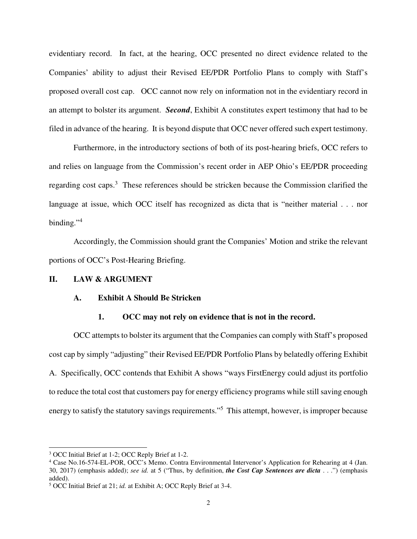evidentiary record. In fact, at the hearing, OCC presented no direct evidence related to the Companies' ability to adjust their Revised EE/PDR Portfolio Plans to comply with Staff's proposed overall cost cap. OCC cannot now rely on information not in the evidentiary record in an attempt to bolster its argument. *Second*, Exhibit A constitutes expert testimony that had to be filed in advance of the hearing. It is beyond dispute that OCC never offered such expert testimony.

 Furthermore, in the introductory sections of both of its post-hearing briefs, OCC refers to and relies on language from the Commission's recent order in AEP Ohio's EE/PDR proceeding regarding cost caps.<sup>3</sup> These references should be stricken because the Commission clarified the language at issue, which OCC itself has recognized as dicta that is "neither material . . . nor binding."<sup>4</sup>

 Accordingly, the Commission should grant the Companies' Motion and strike the relevant portions of OCC's Post-Hearing Briefing.

#### **II. LAW & ARGUMENT**

#### **A. Exhibit A Should Be Stricken**

#### **1. OCC may not rely on evidence that is not in the record.**

 OCC attempts to bolster its argument that the Companies can comply with Staff's proposed cost cap by simply "adjusting" their Revised EE/PDR Portfolio Plans by belatedly offering Exhibit A. Specifically, OCC contends that Exhibit A shows "ways FirstEnergy could adjust its portfolio to reduce the total cost that customers pay for energy efficiency programs while still saving enough energy to satisfy the statutory savings requirements."<sup>5</sup> This attempt, however, is improper because

-

<sup>&</sup>lt;sup>3</sup> OCC Initial Brief at 1-2; OCC Reply Brief at 1-2.

<sup>&</sup>lt;sup>4</sup> Case No.16-574-EL-POR, OCC's Memo. Contra Environmental Intervenor's Application for Rehearing at 4 (Jan. 30, 2017) (emphasis added); *see id.* at 5 ("Thus, by definition, *the Cost Cap Sentences are dicta* . . .") (emphasis added).

<sup>5</sup> OCC Initial Brief at 21; *id.* at Exhibit A; OCC Reply Brief at 3-4.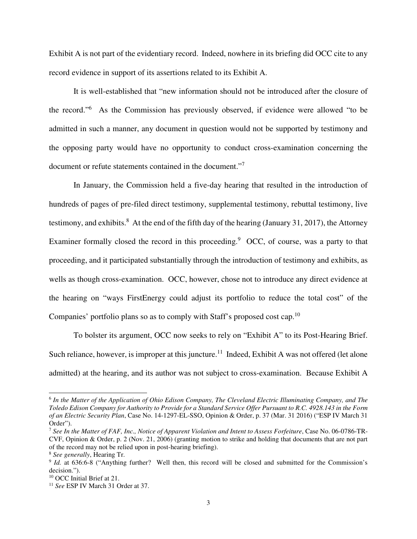Exhibit A is not part of the evidentiary record. Indeed, nowhere in its briefing did OCC cite to any record evidence in support of its assertions related to its Exhibit A.

 It is well-established that "new information should not be introduced after the closure of the record."<sup>6</sup> As the Commission has previously observed, if evidence were allowed "to be admitted in such a manner, any document in question would not be supported by testimony and the opposing party would have no opportunity to conduct cross-examination concerning the document or refute statements contained in the document."<sup>7</sup>

 In January, the Commission held a five-day hearing that resulted in the introduction of hundreds of pages of pre-filed direct testimony, supplemental testimony, rebuttal testimony, live testimony, and exhibits.<sup>8</sup> At the end of the fifth day of the hearing (January 31, 2017), the Attorney Examiner formally closed the record in this proceeding.<sup>9</sup> OCC, of course, was a party to that proceeding, and it participated substantially through the introduction of testimony and exhibits, as wells as though cross-examination. OCC, however, chose not to introduce any direct evidence at the hearing on "ways FirstEnergy could adjust its portfolio to reduce the total cost" of the Companies' portfolio plans so as to comply with Staff's proposed cost cap.<sup>10</sup>

 To bolster its argument, OCC now seeks to rely on "Exhibit A" to its Post-Hearing Brief. Such reliance, however, is improper at this juncture.<sup>11</sup> Indeed, Exhibit A was not offered (let alone admitted) at the hearing, and its author was not subject to cross-examination. Because Exhibit A

-

<sup>6</sup> *In the Matter of the Application of Ohio Edison Company, The Cleveland Electric Illuminating Company, and The Toledo Edison Company for Authority to Provide for a Standard Service Offer Pursuant to R.C. 4928.143 in the Form of an Electric Security Plan*, Case No. 14-1297-EL-SSO, Opinion & Order, p. 37 (Mar. 31 2016) ("ESP IV March 31 Order").

<sup>7</sup> *See In the Matter of FAF, Inc., Notice of Apparent Violation and Intent to Assess Forfeiture*, Case No. 06-0786-TR-CVF, Opinion & Order, p. 2 (Nov. 21, 2006) (granting motion to strike and holding that documents that are not part of the record may not be relied upon in post-hearing briefing).

<sup>8</sup> *See generally*, Hearing Tr.

<sup>&</sup>lt;sup>9</sup> *Id.* at 636:6-8 ("Anything further? Well then, this record will be closed and submitted for the Commission's decision.").

<sup>&</sup>lt;sup>10</sup> OCC Initial Brief at 21.

<sup>11</sup> *See* ESP IV March 31 Order at 37.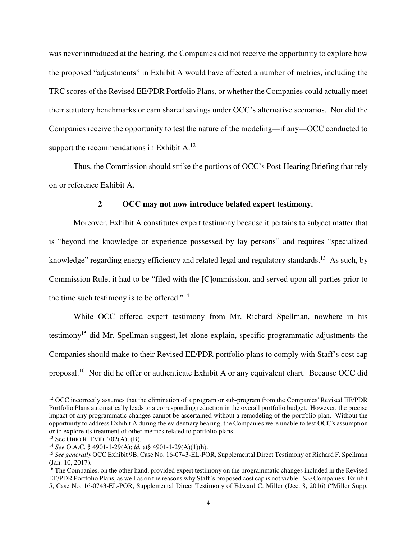was never introduced at the hearing, the Companies did not receive the opportunity to explore how the proposed "adjustments" in Exhibit A would have affected a number of metrics, including the TRC scores of the Revised EE/PDR Portfolio Plans, or whether the Companies could actually meet their statutory benchmarks or earn shared savings under OCC's alternative scenarios. Nor did the Companies receive the opportunity to test the nature of the modeling—if any—OCC conducted to support the recommendations in Exhibit  $A<sup>12</sup>$ 

 Thus, the Commission should strike the portions of OCC's Post-Hearing Briefing that rely on or reference Exhibit A.

#### **2 OCC may not now introduce belated expert testimony.**

Moreover, Exhibit A constitutes expert testimony because it pertains to subject matter that is "beyond the knowledge or experience possessed by lay persons" and requires "specialized knowledge" regarding energy efficiency and related legal and regulatory standards.<sup>13</sup> As such, by Commission Rule, it had to be "filed with the [C]ommission, and served upon all parties prior to the time such testimony is to be offered."<sup>14</sup>

 While OCC offered expert testimony from Mr. Richard Spellman, nowhere in his testimony<sup>15</sup> did Mr. Spellman suggest, let alone explain, specific programmatic adjustments the Companies should make to their Revised EE/PDR portfolio plans to comply with Staff's cost cap proposal.<sup>16</sup> Nor did he offer or authenticate Exhibit A or any equivalent chart. Because OCC did

-

<sup>&</sup>lt;sup>12</sup> OCC incorrectly assumes that the elimination of a program or sub-program from the Companies' Revised EE/PDR Portfolio Plans automatically leads to a corresponding reduction in the overall portfolio budget. However, the precise impact of any programmatic changes cannot be ascertained without a remodeling of the portfolio plan. Without the opportunity to address Exhibit A during the evidentiary hearing, the Companies were unable to test OCC's assumption or to explore its treatment of other metrics related to portfolio plans.

<sup>13</sup> See OHIO R. EVID. 702(A), (B).

<sup>14</sup> *See* O.A.C. § 4901-1-29(A); *id.* at§ 4901-1-29(A)(1)(h).

<sup>15</sup> *See generally* OCC Exhibit 9B, Case No. 16-0743-EL-POR, Supplemental Direct Testimony of Richard F. Spellman (Jan. 10, 2017).

<sup>&</sup>lt;sup>16</sup> The Companies, on the other hand, provided expert testimony on the programmatic changes included in the Revised EE/PDR Portfolio Plans, as well as on the reasons why Staff's proposed cost cap is not viable. *See* Companies' Exhibit 5, Case No. 16-0743-EL-POR, Supplemental Direct Testimony of Edward C. Miller (Dec. 8, 2016) ("Miller Supp.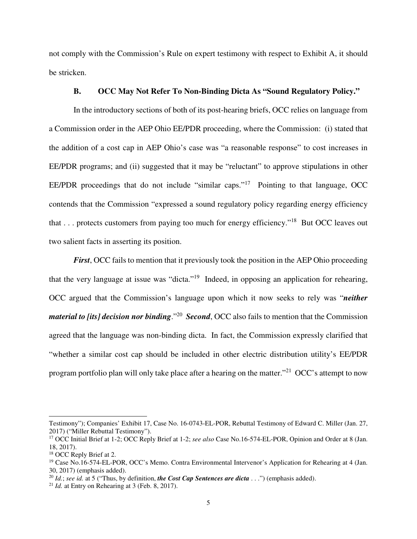not comply with the Commission's Rule on expert testimony with respect to Exhibit A, it should be stricken.

## **B. OCC May Not Refer To Non-Binding Dicta As "Sound Regulatory Policy."**

In the introductory sections of both of its post-hearing briefs, OCC relies on language from a Commission order in the AEP Ohio EE/PDR proceeding, where the Commission: (i) stated that the addition of a cost cap in AEP Ohio's case was "a reasonable response" to cost increases in EE/PDR programs; and (ii) suggested that it may be "reluctant" to approve stipulations in other EE/PDR proceedings that do not include "similar caps."<sup>17</sup> Pointing to that language, OCC contends that the Commission "expressed a sound regulatory policy regarding energy efficiency that . . . protects customers from paying too much for energy efficiency."<sup>18</sup> But OCC leaves out two salient facts in asserting its position.

*First*, OCC fails to mention that it previously took the position in the AEP Ohio proceeding that the very language at issue was "dicta."<sup>19</sup> Indeed, in opposing an application for rehearing, OCC argued that the Commission's language upon which it now seeks to rely was "*neither material to [its] decision nor binding.*"<sup>20</sup> Second, OCC also fails to mention that the Commission agreed that the language was non-binding dicta. In fact, the Commission expressly clarified that "whether a similar cost cap should be included in other electric distribution utility's EE/PDR program portfolio plan will only take place after a hearing on the matter."<sup>21</sup> OCC's attempt to now

j

Testimony"); Companies' Exhibit 17, Case No. 16-0743-EL-POR, Rebuttal Testimony of Edward C. Miller (Jan. 27, 2017) ("Miller Rebuttal Testimony").

<sup>17</sup> OCC Initial Brief at 1-2; OCC Reply Brief at 1-2; *see also* Case No.16-574-EL-POR, Opinion and Order at 8 (Jan. 18, 2017).

<sup>&</sup>lt;sup>18</sup> OCC Reply Brief at 2.

<sup>&</sup>lt;sup>19</sup> Case No.16-574-EL-POR, OCC's Memo. Contra Environmental Intervenor's Application for Rehearing at 4 (Jan. 30, 2017) (emphasis added).

<sup>20</sup> *Id.*; *see id.* at 5 ("Thus, by definition, *the Cost Cap Sentences are dicta* . . .") (emphasis added).

<sup>&</sup>lt;sup>21</sup> *Id.* at Entry on Rehearing at 3 (Feb. 8, 2017).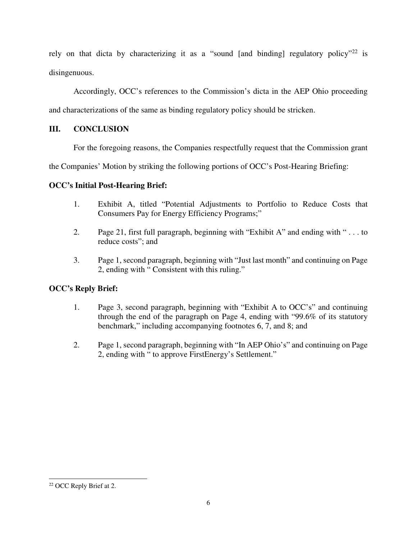rely on that dicta by characterizing it as a "sound [and binding] regulatory policy"<sup>22</sup> is disingenuous.

Accordingly, OCC's references to the Commission's dicta in the AEP Ohio proceeding

and characterizations of the same as binding regulatory policy should be stricken.

# **III. CONCLUSION**

For the foregoing reasons, the Companies respectfully request that the Commission grant

the Companies' Motion by striking the following portions of OCC's Post-Hearing Briefing:

## **OCC's Initial Post-Hearing Brief:**

- 1. Exhibit A, titled "Potential Adjustments to Portfolio to Reduce Costs that Consumers Pay for Energy Efficiency Programs;"
- 2. Page 21, first full paragraph, beginning with "Exhibit A" and ending with " . . . to reduce costs"; and
- 3. Page 1, second paragraph, beginning with "Just last month" and continuing on Page 2, ending with " Consistent with this ruling."

# **OCC's Reply Brief:**

- 1. Page 3, second paragraph, beginning with "Exhibit A to OCC's" and continuing through the end of the paragraph on Page 4, ending with "99.6% of its statutory benchmark," including accompanying footnotes 6, 7, and 8; and
- 2. Page 1, second paragraph, beginning with "In AEP Ohio's" and continuing on Page 2, ending with " to approve FirstEnergy's Settlement."

j

<sup>&</sup>lt;sup>22</sup> OCC Reply Brief at 2.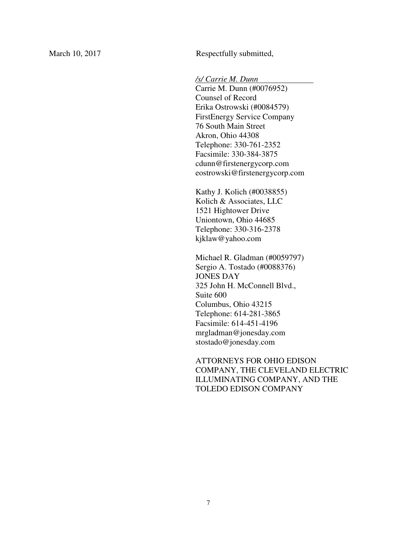March 10, 2017 Respectfully submitted,

*/s/ Carrie M. Dunn .*

Carrie M. Dunn (#0076952) Counsel of Record Erika Ostrowski (#0084579) FirstEnergy Service Company 76 South Main Street Akron, Ohio 44308 Telephone: 330-761-2352 Facsimile: 330-384-3875 cdunn@firstenergycorp.com eostrowski@firstenergycorp.com

Kathy J. Kolich (#0038855) Kolich & Associates, LLC 1521 Hightower Drive Uniontown, Ohio 44685 Telephone: 330-316-2378 kjklaw@yahoo.com

Michael R. Gladman (#0059797) Sergio A. Tostado (#0088376) JONES DAY 325 John H. McConnell Blvd., Suite 600 Columbus, Ohio 43215 Telephone: 614-281-3865 Facsimile: 614-451-4196 mrgladman@jonesday.com stostado@jonesday.com

ATTORNEYS FOR OHIO EDISON COMPANY, THE CLEVELAND ELECTRIC ILLUMINATING COMPANY, AND THE TOLEDO EDISON COMPANY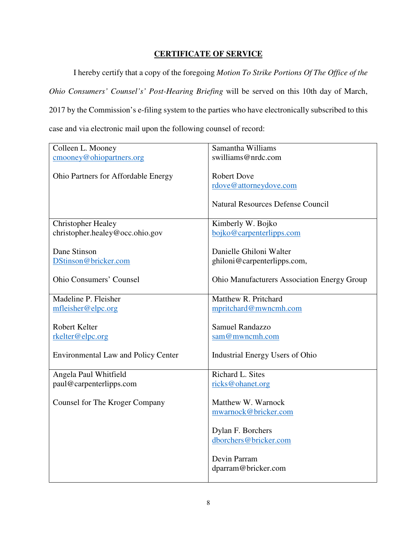# **CERTIFICATE OF SERVICE**

 I hereby certify that a copy of the foregoing *Motion To Strike Portions Of The Office of the Ohio Consumers' Counsel's' Post-Hearing Briefing* will be served on this 10th day of March, 2017 by the Commission's e-filing system to the parties who have electronically subscribed to this case and via electronic mail upon the following counsel of record:

| Colleen L. Mooney                          | Samantha Williams                                  |
|--------------------------------------------|----------------------------------------------------|
| cmooney@ohiopartners.org                   | swilliams@nrdc.com                                 |
|                                            |                                                    |
| Ohio Partners for Affordable Energy        | <b>Robert Dove</b>                                 |
|                                            | rdove@attorneydove.com                             |
|                                            | <b>Natural Resources Defense Council</b>           |
| <b>Christopher Healey</b>                  | Kimberly W. Bojko                                  |
| christopher.healey@occ.ohio.gov            | bojko@carpenterlipps.com                           |
|                                            |                                                    |
| Dane Stinson                               | Danielle Ghiloni Walter                            |
| DStinson@bricker.com                       | ghiloni@carpenterlipps.com,                        |
|                                            |                                                    |
| <b>Ohio Consumers' Counsel</b>             | <b>Ohio Manufacturers Association Energy Group</b> |
|                                            |                                                    |
| Madeline P. Fleisher                       | Matthew R. Pritchard                               |
| mfleisher@elpc.org                         | mpritchard@mwncmh.com                              |
|                                            |                                                    |
| Robert Kelter                              | <b>Samuel Randazzo</b>                             |
| rkelter@elpc.org                           | sam@mwncmh.com                                     |
|                                            |                                                    |
| <b>Environmental Law and Policy Center</b> | Industrial Energy Users of Ohio                    |
|                                            |                                                    |
| Angela Paul Whitfield                      | Richard L. Sites                                   |
| paul@carpenterlipps.com                    | ricks@ohanet.org                                   |
| Counsel for The Kroger Company             | Matthew W. Warnock                                 |
|                                            | mwarnock@bricker.com                               |
|                                            |                                                    |
|                                            | Dylan F. Borchers                                  |
|                                            | dborchers@bricker.com                              |
|                                            |                                                    |
|                                            | Devin Parram                                       |
|                                            | dparram@bricker.com                                |
|                                            |                                                    |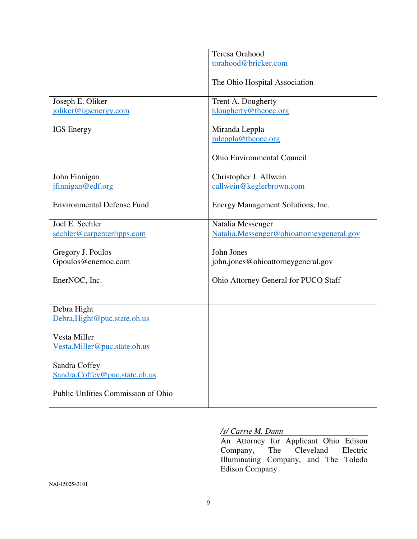|                                     | Teresa Orahood                            |
|-------------------------------------|-------------------------------------------|
|                                     | torahood@bricker.com                      |
|                                     |                                           |
|                                     | The Ohio Hospital Association             |
|                                     |                                           |
| Joseph E. Oliker                    | Trent A. Dougherty                        |
|                                     |                                           |
| joliker@igsenergy.com               | tdougherty@theoec.org                     |
|                                     |                                           |
| <b>IGS</b> Energy                   | Miranda Leppla                            |
|                                     | mleppla@theoec.org                        |
|                                     |                                           |
|                                     | <b>Ohio Environmental Council</b>         |
|                                     |                                           |
|                                     |                                           |
| John Finnigan                       | Christopher J. Allwein                    |
| jfinnigan@edf.org                   | callwein@keglerbrown.com                  |
|                                     |                                           |
| <b>Environmental Defense Fund</b>   | Energy Management Solutions, Inc.         |
|                                     |                                           |
| Joel E. Sechler                     | Natalia Messenger                         |
| sechler@carpenterlipps.com          | Natalia.Messenger@ohioattorneygeneral.gov |
|                                     |                                           |
|                                     |                                           |
| Gregory J. Poulos                   | John Jones                                |
| Gpoulos@enernoc.com                 | john.jones@ohioattorneygeneral.gov        |
|                                     |                                           |
| EnerNOC, Inc.                       | Ohio Attorney General for PUCO Staff      |
|                                     |                                           |
|                                     |                                           |
| Debra Hight                         |                                           |
| Debra.Hight@puc.state.oh.us         |                                           |
|                                     |                                           |
|                                     |                                           |
| Vesta Miller                        |                                           |
| Vesta.Miller@puc.state.oh.us        |                                           |
|                                     |                                           |
| Sandra Coffey                       |                                           |
| Sandra.Coffey@puc.state.oh.us       |                                           |
|                                     |                                           |
| Public Utilities Commission of Ohio |                                           |
|                                     |                                           |
|                                     |                                           |

## */s/ Carrie M. Dunn*

An Attorney for Applicant Ohio Edison<br>Company, The Cleveland Electric Company, The Cleveland Electric Illuminating Company, and The Toledo Edison Company